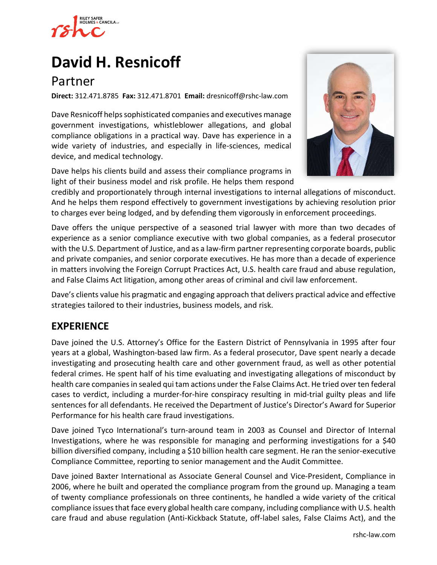

# **David H. [Resnicoff](https://www.rshc-law.com/attorneys/attorney/David-H-Resnicoff)**

# Partner

**Direct:** 312.471.8785 **Fax:** 312.471.8701 **Email:** dresnicoff@rshc-law.com

Dave Resnicoff helps sophisticated companies and executives manage government investigations, whistleblower allegations, and global compliance obligations in a practical way. Dave has experience in a wide variety of industries, and especially in life-sciences, medical device, and medical technology.

Dave helps his clients build and assess their compliance programs in light of their business model and risk profile. He helps them respond



credibly and proportionately through internal investigations to internal allegations of misconduct. And he helps them respond effectively to government investigations by achieving resolution prior to charges ever being lodged, and by defending them vigorously in enforcement proceedings.

Dave offers the unique perspective of a seasoned trial lawyer with more than two decades of experience as a senior compliance executive with two global companies, as a federal prosecutor with the U.S. Department of Justice, and as a law-firm partner representing corporate boards, public and private companies, and senior corporate executives. He has more than a decade of experience in matters involving the Foreign Corrupt Practices Act, U.S. health care fraud and abuse regulation, and False Claims Act litigation, among other areas of criminal and civil law enforcement.

Dave's clients value his pragmatic and engaging approach that delivers practical advice and effective strategies tailored to their industries, business models, and risk.

# **EXPERIENCE**

Dave joined the U.S. Attorney's Office for the Eastern District of Pennsylvania in 1995 after four years at a global, Washington-based law firm. As a federal prosecutor, Dave spent nearly a decade investigating and prosecuting health care and other government fraud, as well as other potential federal crimes. He spent half of his time evaluating and investigating allegations of misconduct by health care companies in sealed qui tam actions under the False Claims Act. He tried over ten federal cases to verdict, including a murder-for-hire conspiracy resulting in mid-trial guilty pleas and life sentences for all defendants. He received the Department of Justice's Director's Award for Superior Performance for his health care fraud investigations.

Dave joined Tyco International's turn-around team in 2003 as Counsel and Director of Internal Investigations, where he was responsible for managing and performing investigations for a \$40 billion diversified company, including a \$10 billion health care segment. He ran the senior-executive Compliance Committee, reporting to senior management and the Audit Committee.

Dave joined Baxter International as Associate General Counsel and Vice-President, Compliance in 2006, where he built and operated the compliance program from the ground up. Managing a team of twenty compliance professionals on three continents, he handled a wide variety of the critical compliance issues that face every global health care company, including compliance with U.S. health care fraud and abuse regulation (Anti-Kickback Statute, off-label sales, False Claims Act), and the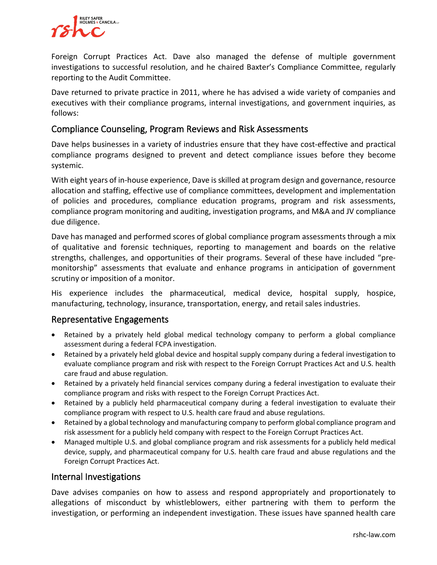

Foreign Corrupt Practices Act. Dave also managed the defense of multiple government investigations to successful resolution, and he chaired Baxter's Compliance Committee, regularly reporting to the Audit Committee.

Dave returned to private practice in 2011, where he has advised a wide variety of companies and executives with their compliance programs, internal investigations, and government inquiries, as follows:

#### Compliance Counseling, Program Reviews and Risk Assessments

Dave helps businesses in a variety of industries ensure that they have cost-effective and practical compliance programs designed to prevent and detect compliance issues before they become systemic.

With eight years of in-house experience, Dave is skilled at program design and governance, resource allocation and staffing, effective use of compliance committees, development and implementation of policies and procedures, compliance education programs, program and risk assessments, compliance program monitoring and auditing, investigation programs, and M&A and JV compliance due diligence.

Dave has managed and performed scores of global compliance program assessments through a mix of qualitative and forensic techniques, reporting to management and boards on the relative strengths, challenges, and opportunities of their programs. Several of these have included "premonitorship" assessments that evaluate and enhance programs in anticipation of government scrutiny or imposition of a monitor.

His experience includes the pharmaceutical, medical device, hospital supply, hospice, manufacturing, technology, insurance, transportation, energy, and retail sales industries.

#### Representative Engagements

- Retained by a privately held global medical technology company to perform a global compliance assessment during a federal FCPA investigation.
- Retained by a privately held global device and hospital supply company during a federal investigation to evaluate compliance program and risk with respect to the Foreign Corrupt Practices Act and U.S. health care fraud and abuse regulation.
- Retained by a privately held financial services company during a federal investigation to evaluate their compliance program and risks with respect to the Foreign Corrupt Practices Act.
- Retained by a publicly held pharmaceutical company during a federal investigation to evaluate their compliance program with respect to U.S. health care fraud and abuse regulations.
- Retained by a global technology and manufacturing company to perform global compliance program and risk assessment for a publicly held company with respect to the Foreign Corrupt Practices Act.
- Managed multiple U.S. and global compliance program and risk assessments for a publicly held medical device, supply, and pharmaceutical company for U.S. health care fraud and abuse regulations and the Foreign Corrupt Practices Act.

#### Internal Investigations

Dave advises companies on how to assess and respond appropriately and proportionately to allegations of misconduct by whistleblowers, either partnering with them to perform the investigation, or performing an independent investigation. These issues have spanned health care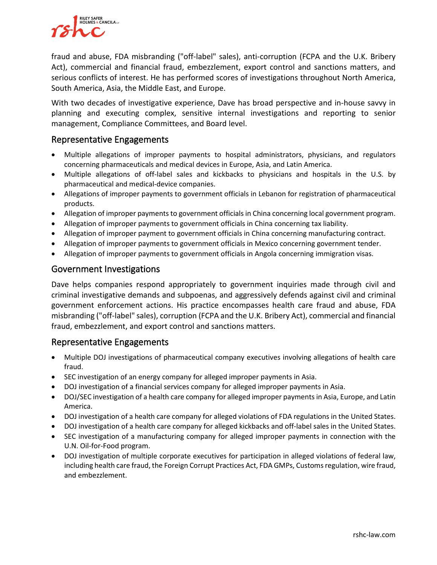

fraud and abuse, FDA misbranding ("off-label" sales), anti-corruption (FCPA and the U.K. Bribery Act), commercial and financial fraud, embezzlement, export control and sanctions matters, and serious conflicts of interest. He has performed scores of investigations throughout North America, South America, Asia, the Middle East, and Europe.

With two decades of investigative experience, Dave has broad perspective and in-house savvy in planning and executing complex, sensitive internal investigations and reporting to senior management, Compliance Committees, and Board level.

#### Representative Engagements

- Multiple allegations of improper payments to hospital administrators, physicians, and regulators concerning pharmaceuticals and medical devices in Europe, Asia, and Latin America.
- Multiple allegations of off-label sales and kickbacks to physicians and hospitals in the U.S. by pharmaceutical and medical-device companies.
- Allegations of improper payments to government officials in Lebanon for registration of pharmaceutical products.
- Allegation of improper payments to government officials in China concerning local government program.
- Allegation of improper payments to government officials in China concerning tax liability.
- Allegation of improper payment to government officials in China concerning manufacturing contract.
- Allegation of improper payments to government officials in Mexico concerning government tender.
- Allegation of improper payments to government officials in Angola concerning immigration visas.

#### Government Investigations

Dave helps companies respond appropriately to government inquiries made through civil and criminal investigative demands and subpoenas, and aggressively defends against civil and criminal government enforcement actions. His practice encompasses health care fraud and abuse, FDA misbranding ("off-label" sales), corruption (FCPA and the U.K. Bribery Act), commercial and financial fraud, embezzlement, and export control and sanctions matters.

#### Representative Engagements

- Multiple DOJ investigations of pharmaceutical company executives involving allegations of health care fraud.
- SEC investigation of an energy company for alleged improper payments in Asia.
- DOJ investigation of a financial services company for alleged improper payments in Asia.
- DOJ/SEC investigation of a health care company for alleged improper payments in Asia, Europe, and Latin America.
- DOJ investigation of a health care company for alleged violations of FDA regulations in the United States.
- DOJ investigation of a health care company for alleged kickbacks and off-label sales in the United States.
- SEC investigation of a manufacturing company for alleged improper payments in connection with the U.N. Oil-for-Food program.
- DOJ investigation of multiple corporate executives for participation in alleged violations of federal law, including health care fraud, the Foreign Corrupt Practices Act, FDA GMPs, Customs regulation, wire fraud, and embezzlement.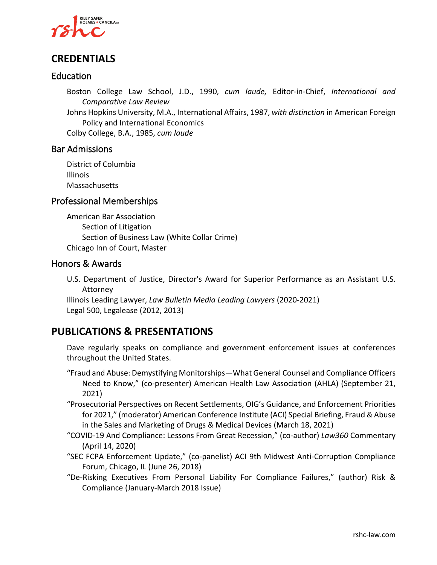

## **CREDENTIALS**

#### Education

Boston College Law School, J.D., 1990, *cum laude,* Editor-in-Chief, *International and Comparative Law Review*

Johns Hopkins University, M.A., International Affairs, 1987, *with distinction* in American Foreign Policy and International Economics

Colby College, B.A., 1985, *cum laude*

#### Bar Admissions

District of Columbia Illinois Massachusetts

#### Professional Memberships

American Bar Association Section of Litigation Section of Business Law (White Collar Crime) Chicago Inn of Court, Master

#### Honors & Awards

U.S. Department of Justice, Director's Award for Superior Performance as an Assistant U.S. Attorney

Illinois Leading Lawyer, *Law Bulletin Media Leading Lawyers* (2020-2021) Legal 500, Legalease (2012, 2013)

### **PUBLICATIONS & PRESENTATIONS**

Dave regularly speaks on compliance and government enforcement issues at conferences throughout the United States.

- "Fraud and Abuse: Demystifying Monitorships—What General Counsel and Compliance Officers Need to Know," (co-presenter) American Health Law Association (AHLA) (September 21, 2021)
- "Prosecutorial Perspectives on Recent Settlements, OIG's Guidance, and Enforcement Priorities for 2021," (moderator) American Conference Institute (ACI) Special Briefing, Fraud & Abuse in the Sales and Marketing of Drugs & Medical Devices (March 18, 2021)
- "COVID-19 And Compliance: Lessons From Great Recession," (co-author) *Law360* Commentary (April 14, 2020)
- "SEC FCPA Enforcement Update," (co-panelist) ACI 9th Midwest Anti-Corruption Compliance Forum, Chicago, IL (June 26, 2018)
- "De-Risking Executives From Personal Liability For Compliance Failures," (author) Risk & Compliance (January-March 2018 Issue)